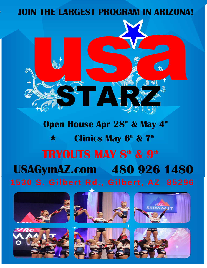# **JOIN THE LARGEST PROGRAM IN ARIZONA!** IN THE LARGEST PROGRAM IN ARIZONA



STARZ STAR



**WWW** 

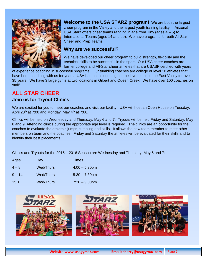

**Welcome to the USA STARZ program!** We are both the largest cheer program in the Valley and the largest youth training facility in Arizona! USA Starz offers cheer teams ranging in age from Tiny (ages 4 – 5) to International Teams (ages 14 and up). We have programs for both All Star Cheer and Prep Teams!

### **Why are we successful?**

We have developed our cheer program to build strength, flexibility and the technical skills to be successful in the sport. Our USA cheer coaches are former college and All-Star cheer athletes that are USASF certified with years

of experience coaching in successful programs. Our tumbling coaches are college or level 10 athletes that have been coaching with us for years. USA has been coaching competitive teams in the East Valley for over 35 years. We have 3 large gyms at two locations in Gilbert and Queen Creek. We have over 100 coaches on staff!

# **ALL STAR CHEER**

www

### **Join us for Tryout Clinics:**

We are excited for you to meet our coaches and visit our facility! USA will host an Open House on Tuesday, April 28<sup>th</sup> at 7:00 and Monday, May  $4<sup>th</sup>$  at 7:00.

Clinics will be held on Wednesday and Thursday, May 6 and 7. Tryouts will be held Friday and Saturday, May 8 and 9. Attending clinics during the appropriate age level is required. The clinics are an opportunity for the coaches to evaluate the athlete's jumps, tumbling and skills. It allows the new team member to meet other members on team and the coaches! Friday and Saturday the athletes will be evaluated for their skills and to identify their best placements.

Clinics and Tryouts for the 2015 – 2016 Season are Wednesday and Thursday, May 6 and 7:

| Ages:    | Day              | <b>Times</b>     |
|----------|------------------|------------------|
| $4 - 8$  | <b>Wed/Thurs</b> | $4:00 - 5:30$ pm |
| $9 - 14$ | <b>Wed/Thurs</b> | $5:30 - 7:30$ pm |
| $15 +$   | <b>Wed/Thurs</b> | $7:30 - 9:00$ pm |

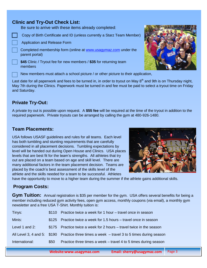### **Clinic and Try-Out Check List:**

Be sure to arrive with these items already completed:

- Copy of Birth Certificate and ID (unless currently a Starz Team Member)
- Application and Release Form
- Completed membership form (online at [www.usagymaz.com](http://www.usagymaz.com/) under the parent portal)
- **\$45** Clinic / Tryout fee for new members / **\$35** for returning team members

New members must attach a school picture / or other picture to their application,

Last date for all paperwork and fees to be turned in, in order to tryout on May 8<sup>th</sup> and 9th is on Thursday night, May 7th during the Clinics. Paperwork must be turned in and fee must be paid to select a tryout time on Friday and Saturday.

## **Private Try-Out:**

A private try out is possible upon request. A **\$55 fee** will be required at the time of the tryout in addition to the required paperwork. Private tryouts can be arranged by calling the gym at 480-926-1480.

### **Team Placements:**

USA follows USASF guidelines and rules for all teams. Each level has both tumbling and stunting requirements that are carefully considered in all placement decisions. Tumbling expectations by level will be handed out during Open House and Clinics. USA places levels that are best fit for the team's strengths. All athletes that try out are placed on a team based on age and skill level. There are many additional factors in the team placement decision. Teams are placed by the coach's best assessment of the skills level of the athlete and the skills needed for a team to be successful. Athletes

have the opportunity to move to a higher team during the summer if the athlete gains additional skills.

### **Program Costs:**

www

**Gym Tuition:** Annual registration is \$35 per member for the gym. USA offers several benefits for being a member including reduced gym activity fees, open gym access, monthly coupons (via email), a monthly gym newsletter and a free USA T-Shirt. Monthly tuition is:

| Tinys:         |       | \$110 Practice twice a week for 1 hour – travel once in season                              |
|----------------|-------|---------------------------------------------------------------------------------------------|
| Minis:         | \$125 | Practice twice a week for 1.5 hours – travel once in season                                 |
| Level 1 and 2: |       | \$175 Practice twice a week for 2 hours – travel twice in the season                        |
|                |       | All Level 3, 4 and 5: \$190 Practice three times a week – travel 3 to 5 times during season |
| International: | \$50  | Practice three times a week - travel 4 to 5 times during season                             |





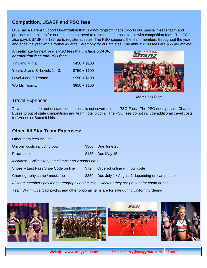## **Competition, USASF and PSO fees:**

USA has a Parent Support Organization that is a not-for-profit that supports our Special Needs team and provides fund raisers for our athletes that need to raise funds for assistance with competition fees. The PSO also pays USASF the \$35 fee to register athletes. The PSO supports the team members throughout the year and ends the year with a formal Awards Ceremony for our athletes. The annual PSO fees are \$65 per athlete.

### An **estimate** for next year's PSO fees that *include USASF, competition fees and PSO fees* is:

| Tiny and Minis:                   | $$450 + $100$ |
|-----------------------------------|---------------|
| Youth, Jr and Sr Levels $1 - 3$ : | $$750 + $100$ |
| Level 4 and 5 Teams:              | $$950 + $100$ |
| <b>Worlds Teams:</b>              | $$950 + $100$ |



**Champions Team**

### Travel Expenses:

Travel expense for out of state competitions is not covered in the PSO Fees. The PSO does provide Charter Buses to out of state competitions and team hotel blocks. The PSO fees do not include additional travel costs for Worlds or Summit bids.

### **Other All Star Team Expenses:**

Other team fees include:

www

| \$500 Due June 25 |  |
|-------------------|--|
|                   |  |

| <b>Practice clothes:</b> |  | \$185 Due May 15 |
|--------------------------|--|------------------|
|--------------------------|--|------------------|

*Includes: 2 Nike Pros, 3 tank tops and 2 sports bras.* 

| Shoes - Last Pass Shoe Code on line | \$72<br>Ordered online with our code |
|-------------------------------------|--------------------------------------|
|-------------------------------------|--------------------------------------|

Choreography camp / music fee \$350 Due July 1 / August 1 depending on camp date

*All team members pay for choreography and music – whether they are present for camp or not.* 

Team Warm Ups, backpacks, and other optional items are for sale during Uniform Ordering